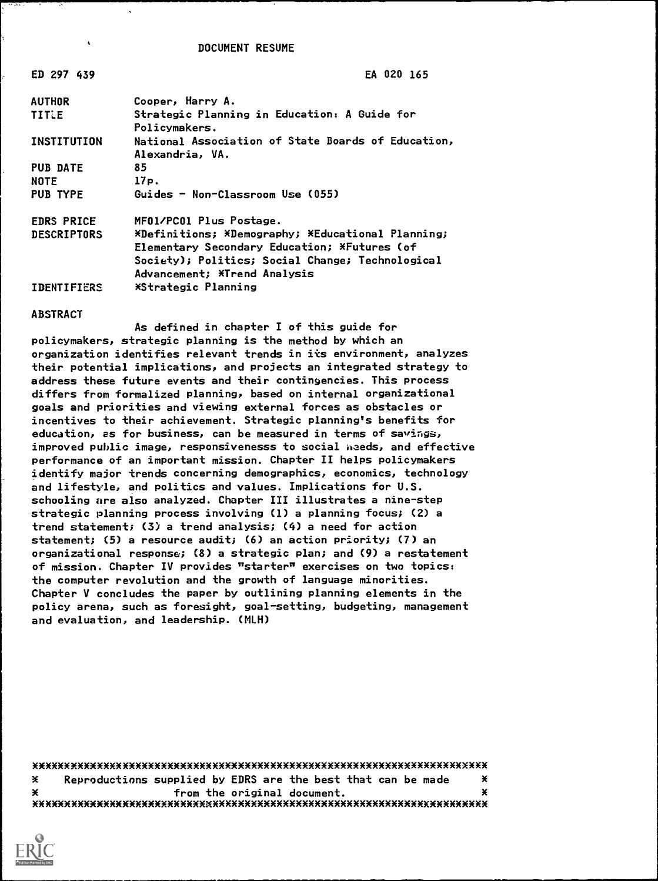DOCUMENT RESUME

| EA 020 165                                                                                                                                                                            |
|---------------------------------------------------------------------------------------------------------------------------------------------------------------------------------------|
| Cooper, Harry A.                                                                                                                                                                      |
| Strategic Planning in Education: A Guide for<br>Policymakers.                                                                                                                         |
| National Association of State Boards of Education,<br>Alexandria, VA.                                                                                                                 |
| 85                                                                                                                                                                                    |
| 17p.                                                                                                                                                                                  |
| Guides - Non-Classroom Use (055)                                                                                                                                                      |
| MF01/PC01 Plus Postage.                                                                                                                                                               |
| *Definitions; *Demography; *Educational Planning;<br>Elementary Secondary Education; *Futures (of<br>Society); Politics; Social Change; Technological<br>Advancement; *Trend Analysis |
| *Strategic Planning                                                                                                                                                                   |
|                                                                                                                                                                                       |

#### ABSTRACT

As defined in chapter I of this guide for policymakers, strategic planning is the method by which an organization identifies relevant trends in its environment, analyzes their potential implications, and projects an integrated strategy to address these future events and their contingencies. This process differs from formalized planning, based on internal organizational goals and priorities and viewing external forces as obstacles or incentives to their achievement. Strategic planning's benefits for education, as for business, can be measured in terms of savings, improved public image, responsivenesss to social needs, and effective performance of an important mission. Chapter II helps policymakers identify major trends concerning demographics, economics, technology and lifestyle, and politics and values. Implications for U.S. schooling are also analyzed. Chapter III illustrates a nine-step strategic planning process involving (1) a planning focus; (2) a trend statement; (3) a trend analysis; (4) a need for action statement; (5) a resource audit; (6) an action priority; (7) an organizational response; (8) a strategic plan; and (9) a restatement of mission. Chapter IV provides "starter" exercises on two topics: the computer revolution and the growth of language minorities. Chapter V concludes the paper by outlining planning elements in the policy arena, such as foresight, goal-setting, budgeting, management and evaluation, and leadership. (MLH)

xXXXXxXXXXxxxxxxxxxxxxxxxxxxxxxxxxxxxxxxxxxxxxxxxxxxxxxxxxxxXxXxXXxxxxX  $*$  Reproductions supplied by EDRS are the best that can be made  $*$ x from the original document. ¥ xxxxxxxxxxxxxxxxxxxxxxxxxxXxxXXxXXxXXXXXxXXXXXXXxxxxxxxxxxxxxxxxxxxxxxx

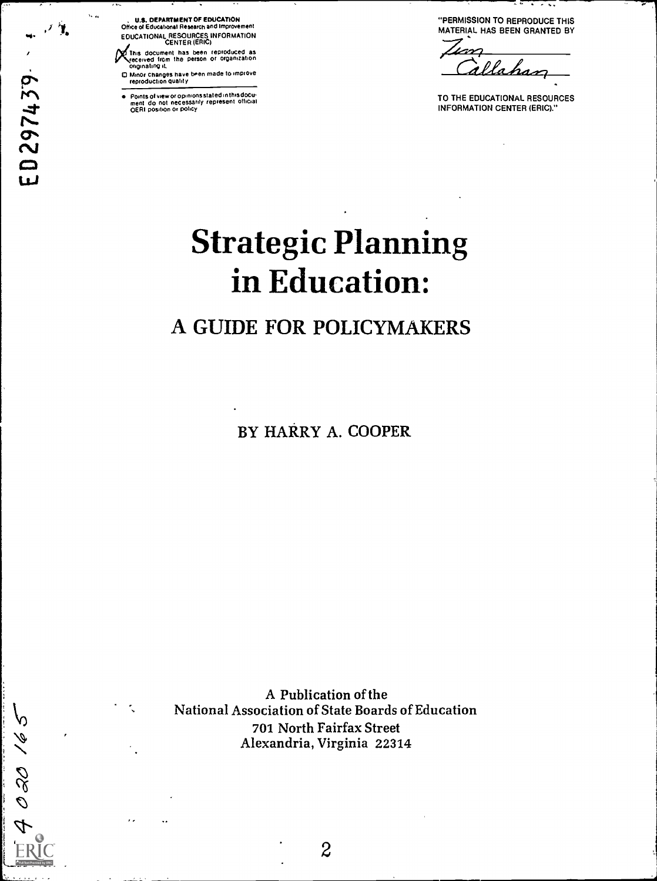バ ED297439

 $\mathbf{V}_\mathbf{r}$  ,

 $\mathcal{D}$ 

02016

, U.S. DEPARTMENT OF EDUCATION Office of Educational Research and Improvement EDUCATIONAL RESOURCES INFORMATION<br>CENTER (ERIC)

This document has been reproduced as received from the person or organization originating it,

O Minor changes have been made to improve reproduction Quality

Points of view or opinionsstated in thisdocu ment do not necessarily represent official OERI positron or policy

"PERMISSION TO REPRODUCE THIS MATERIAL HAS BEEN GRANTED BY

llahas

TO THE EDUCATIONAL RESOURCES INFORMATION CENTER (ERIC)."

# Strategic Planning in Education:

# A GUIDE FOR POLICYMAKERS

BY HARRY A. COOPER

A Publication of the National Association of State Boards of Education 701 North Fairfax Street Alexandria, Virginia 22314

FRIC 2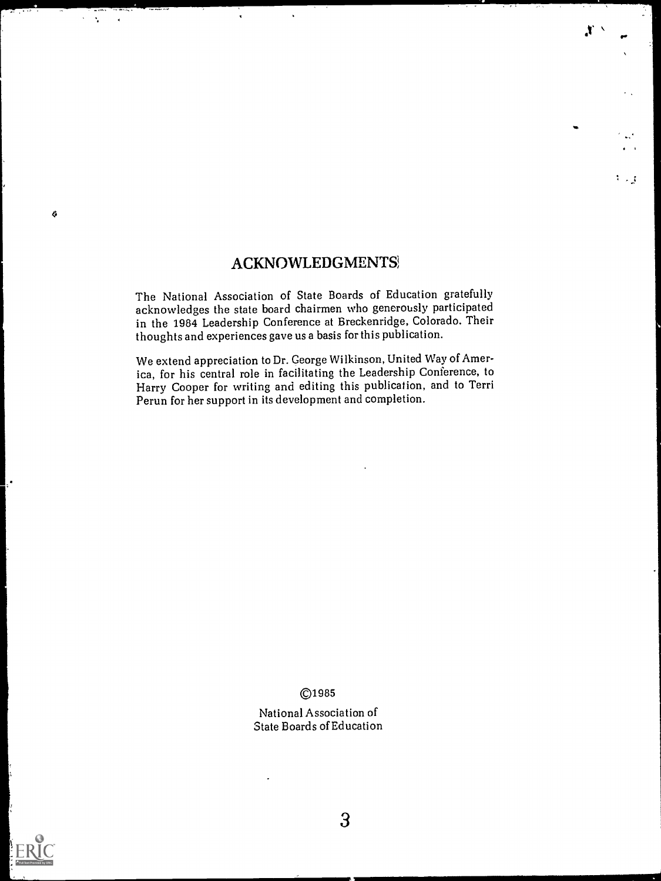### ACKNOWLEDGMENTS;

 $\ddot{\phantom{a}}$ 

 $\sim 1$ 

Ġ

 $\ddot{\phantom{a}}$ 

St

I.

 $\mathbb{C}^n \times \mathbb{R}^n$ 

The National Association of State Boards of Education gratefully acknowledges the state board chairmen who generously participated in the 1984 Leadership Conference at Breckenridge, Colorado. Their thoughts and experiences gave us a basis for this publication.

We extend appreciation to Dr. George Wilkinson, United Way of America, for his central role in facilitating the Leadership Conference, to Harry Cooper for writing and editing this publication, and to Terri Perun for her support in its development and completion.

©1985

National Association of State Boards of Education

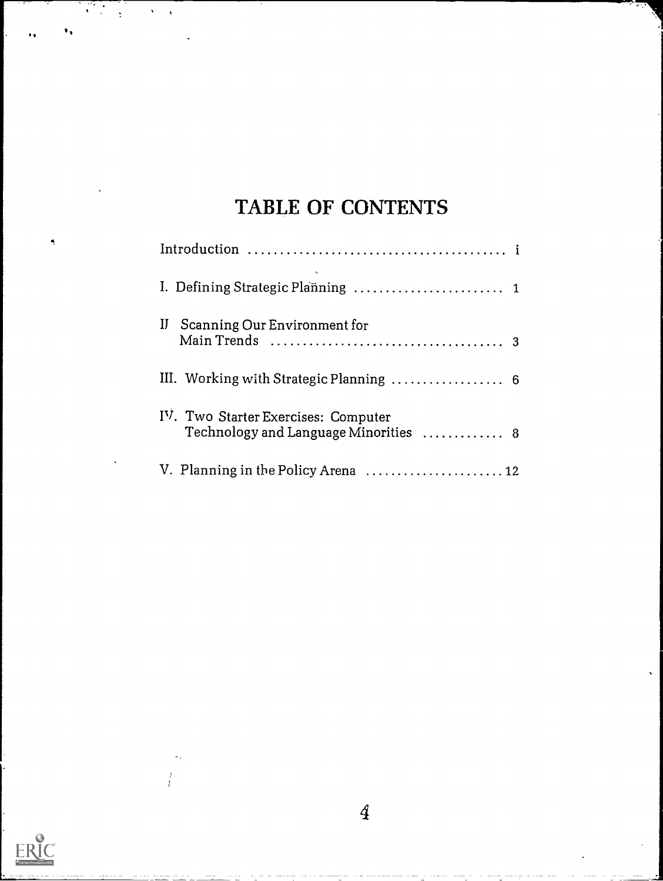# TABLE OF CONTENTS

 $\sqrt{2}$ 

 $\bullet$ 

ERIC

 $\mathcal{L}^{\mathcal{L}}$ 

 $\overline{A}$ 

| Scanning Our Environment for<br>$_{\rm II}$                                  |
|------------------------------------------------------------------------------|
| III. Working with Strategic Planning  6                                      |
| IV. Two Starter Exercises: Computer<br>Technology and Language Minorities  8 |
|                                                                              |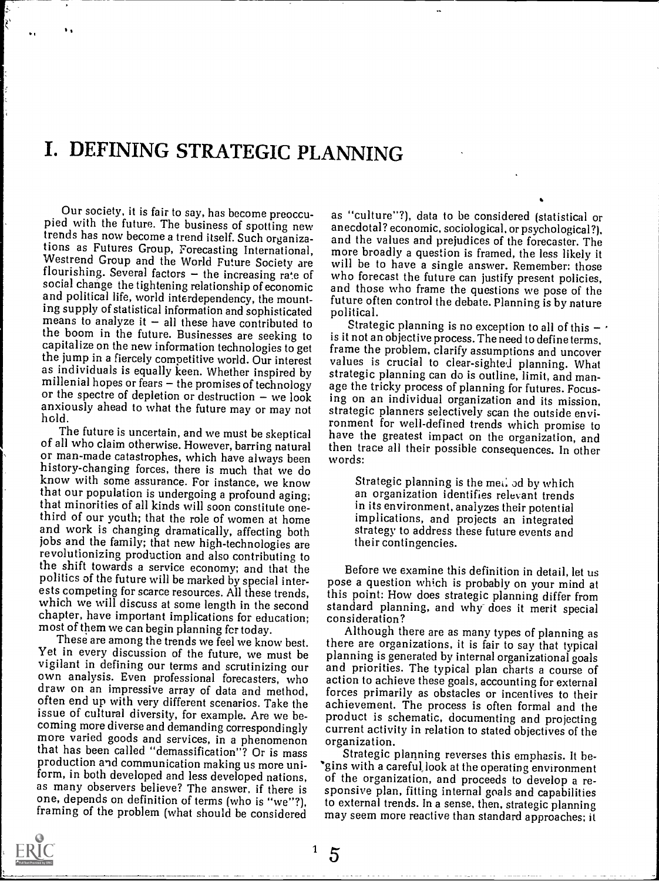# I. DEFINING STRATEGIC PLANNING

Our society, it is fair to say, has become preoccu- pied with the future. The business of spotting new trends has now become a trend itself. Such organizations as Futures Group, Forecasting International, tions as Futures Group, Forecasting International, more broadly a question is framed, the less likely it<br>Westrend Group and the World Future Society are will be to have a single answer. Remember: those<br>flourishing. Several social change the tightening relationship of economic and political life, world interdependency, the mounting supply of statistical information and sophisticated political.<br>means to analyze it - all these have contributed to Strategic planning is no exception to all of this -<br>the boom in the future. Businesses are seeking to the boom in the future. Businesses are seeking to the jump in a fiercely competitive world. Our interest and values is crucial to clear-sighted planning. What as individuals is equally keen. Whether inspired by strategic planning can do is outline. It with and manmillenial hopes or fears  $-$  the promises of technology or the spectre of depletion or destruction  $-$  we look

of all who claim otherwise. However, barring natural then tr<br>or man-made catastrophes, which have always been words: or man-made catastrophes, which have always been history-changing forces, there is much that we do know with some assurance. For instance, we know<br>that our population is undergoing a profound aging; that minorities of all kinds will soon constitute onethat minorities of all kinds will soon constitute one-<br>third of our youth; that the role of women at home implications, and projects an integrated<br>and work is changing dramatically, affecting both strategy to address these jobs and the family; that new high-technologies are<br>revolutionizing production and also contributing to the shift towards a service economy; and that the politics of the future will be marked by special interests competing for scarce resources. All these trends, which we will discuss at some length in the second standard plans chapter, have important implications for education; consideration? chapter, have important implications for education; most of them we can begin planning fcr today.

Yet in every discussion of the future, we must be vigilant in defining our terms and scrutinizing our draw on an impressive array of data and method, forces primarily as obstacles or incentives to their<br>often end up with very different scenarios. Take the achievement. The process is often formal and the issue of cultural diversity, for example. Are we becoming more diverse and demanding correspondingly more varied goods and services, in a phenomenon organization. that has been called "demassification"? Or is mass Strategic planning reverses this emphasis. It beproduction and communication making us more uniform, in both developed and less developed nations, as many observers believe? The answer, if there is one, depends on definition of terms (who is "we"?), framing of the problem (what should be considered

as "culture"?), data to be considered (statistical or anecdotal? economic, sociological, or psychological?), and the values and prejudices of the forecaster. The will be to have a single answer. Remember: those and those who frame the questions we pose of the future often control the debate. Planning is by nature political.

anxiously ahead to what the future may or may not<br>hold.<br>The future is uncertain, and we must be skeptical have the greatest impact on the organization and<br>not the preachest impact on the organization and Strategic planning is no exception to all of this  $$ frame the problem, clarify assumptions and uncover strategic planning can do is outline, limit, and manage the tricky process of planning for futures. Focusing on an individual organization and its mission, ronment for well-defined trends which promise to have the greatest impact on the organization, and then trace all their possible consequences. In other

> Strategic planning is the met. od by which an organization identifies relevant trends implications, and projects an integrated strategy to address these future events and their contingencies.

Before we examine this definition in detail, let us pose a question which is probably on your mind at this point: How does strategic planning differ from standard planning, and why does it merit special

These are among the trends we feel we know best. there are organizations, it is fair to say that typical Although there are as many types of planning as planning is generated by internal organizational goals and priorities. The typical plan charts a course of action to achieve these goals, accounting for external forces primarily as obstacles or incentives to their product is schematic, documenting and projecting current activity in relation to stated objectives of the

> \*gins with a careful, look at the operating environment of the organization, and proceeds to develop a responsive plan, fitting internal goals and capabilities to external trends. In a sense. then, strategic planning may seem more reactive than standard approaches; it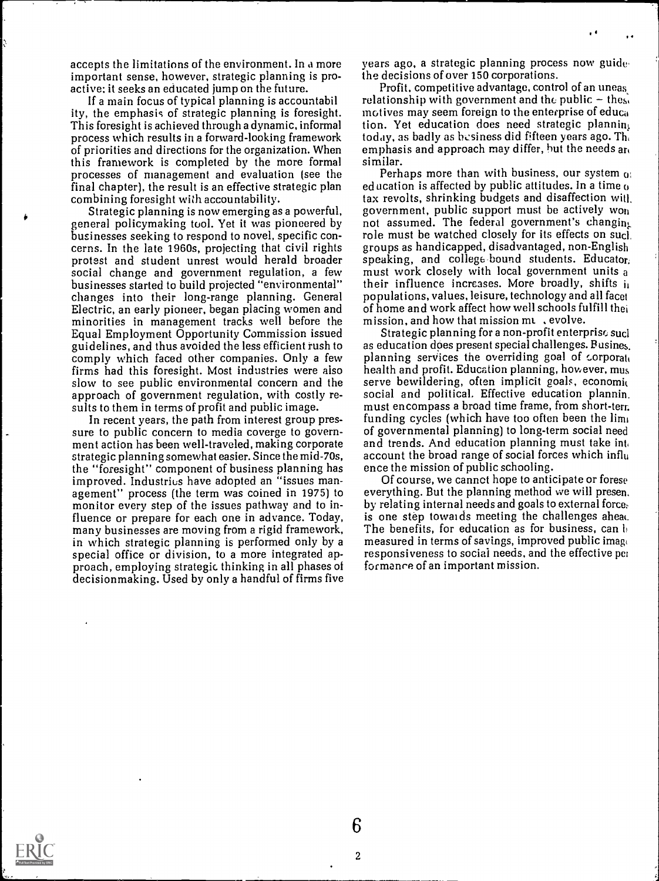accepts the limitations of the environment. In a more important sense, however, strategic planning is proactive: it seeks an educated jump on the future.

If a main focus of typical planning is accountabil ity, the emphasis of strategic planning is foresight. This foresight is achieved through a dynamic, informal process which results in a forward-looking framework of priorities and directions for the organization. When this framework is completed by the more formal processes of management and evaluation (see the final chapter), the result is an effective strategic plan combining foresight with accountability.

general policymaking tool. Yet it was pioneered by businesses seeking to respond to novel, specific concerns. In the late 1960s, projecting that civil rights groups as handicapped, disadvantaged, non-English protest and student unrest would herald broader speaking, and college bound students. Educator, social change and gov changes into their long-range planning. General Electric, an early pioneer, began placing women and minorities in management tracks well before the Equal Employment Opportunity Commission issued guidelines, and thus avoided the less efficient rush to comply which faced other companies. Only a few firms had this foresight. Most industries were also slow to see public environmental concern and the approach of government regulation, with costly results to them in terms of profit and public image.

In recent years, the path from interest group pressure to public concern to media coverge to government action has been well-traveled, making corporate strategic planning somewhat easier. Since the mid-70s, the "foresight" component of business planning has improved. Industries have adopted an "issues management" process (the term was coined in 1975) to monitor every step of the issues pathway and to influence or prepare for each one in advance. Today, many businesses are moving from a rigid framework, in which strategic planning is performed only by a special office or division, to a more integrated approach, employing strategic thinking in all phases of decisionmaking. Used by only a handful of firms five

years ago, a strategic planning process now guide the decisions of over 150 corporations.

 $\blacksquare$ 

Profit, competitive advantage, control of an uneas, relationship with government and the public  $-$  the<sub>s</sub>. motives may seem foreign to the enterprise of educa tion. Yet education does need strategic plannin; today, as badly as bcsiness did fifteen years ago. Th, emphasis and approach may differ, but the needs an similar.

Strategic planning is now emerging as a powerful, government, public support must be actively wo<sub>n</sub><br>teral policymaking tool. Yet it was pioneered by a not assumed. The federal government's changin<sub>k</sub> Perhaps more than with business, our system  $<sub>0</sub>$ .</sub> education is affected by public attitudes. In a time  $<sub>0</sub>$ </sub> tax revolts, shrinking budgets and disaffection witl. government, public support must be actively won role must be watched closely for its effects on sucl, groups as handicapped, disadvantaged, non-English speaking, and college bound students. Educator. their influence increases. More broadly, shifts  $\mathbf{i}_1$ populations, values, leisure, technology and all facet of home and work affect how well schools fulfill thei mission, and how that mission mu, evolve.

Strategic planning for a non-profit enterprise sucl as education does present special challenges. Busines. planning services the overriding goal of corporate health and profit. Education planning, however, mus serve bewildering, often implicit goals, economic social and political. Effective education plannin. must encompass a broad time frame, from short-terr. funding cycles (which have too often been the  $\lim_{k \to \infty}$ of governmental planning) to long-term social need and trends. And education planning must take into account the broad range of social forces which influ ence the mission of public schooling.

Of course, we cannot hope to anticipate or forese everything. But the planning method we will presen. by relating internal needs and goals to external force: is one step towards meeting the challenges ahead. The benefits, for education as for business, can  $\mathbf{b}$ measured in terms of savings, improved public image responsiveness to social needs, and the effective pci formance of an important mission.

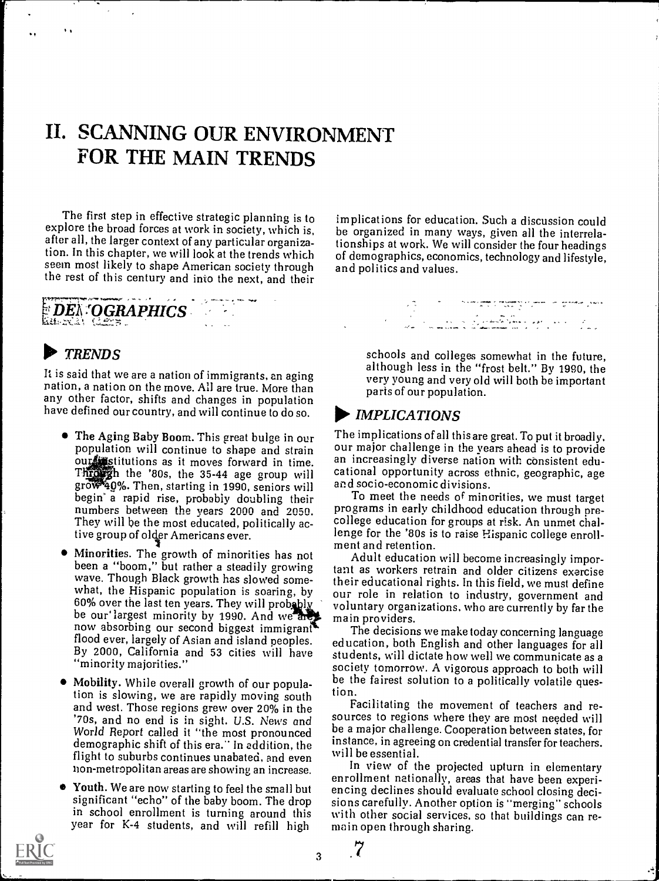# II. SCANNING OUR ENVIRONMENT FOR THE MAIN TRENDS

The first step in effective strategic planning is to explore the broad forces at work in society, which is, after all, the larger context of any particular organization. In this chapter, we will look at the trends which seem most likely to shape American society through and politics and values. the rest of this century and into the next, and their

# ,401\*.  $\#$  DEN  $^{*}$ OGRAPHICS  $^{*}$

### I TRENDS

 $\ddot{\phantom{a}}$ 

It is said that we are a nation of immigrants, an aging nation, a nation on the move. All are true. More than any other factor, shifts and changes in population have defined our country, and will continue to do so.

- The Aging Baby Boom. This great bulge in our population will continue to shape and strain our stitutions as it moves forward in time. **Throws** the '80s, the 35-44 age group will cational opportunity across et grows and grows and grows and socio-economic divisions. gro 40%. Then, starting in 1990, seniors will begin' a rapid rise, probably doubling their numbers between the years 2000 and 2050. They will be the most educated, politically active group of older Americans ever.
- $\bullet$ Minorities. The growth of minorities has not been a "boom," but rather a steadily growing wave. Though Black growth has slowed some-60% over the last ten years. They will probably by bolder our largest minority by 1990. And we are  $\frac{1}{2}$  ma now absorbing our second biggest immigrant. flood ever, largely of Asian and island peoples. By 2000, California and 53 cities will have "minority majorities."
- Mobility. While overall growth of our population is slowing, we are rapidly moving south and west. Those regions grew over 20% in the '70s, and no end is in sight. U.S. News and World Report called it "the most pronounced demographic shift of this era." In addition, the luist in agree<br>flight to suburbs continues unabated, and such will be essential. flight to suburbs continues unabated, and even non-metropolitan areas are showing an increase.
- Youth. We are now starting to feel the small but significant "echo" of the baby boom. The drop in school enrollment is turning around this year for K-4 students, and will refill high

implications for education. Such a discussion could be organized in many ways, given all the interrelationships at work. We will consider the four headings of demographics, economics, technology and lifestyle,

> schools and colleges somewhat in the future, although less in the "frost belt." By 1990, the very young and very old will both be important parts of our population.

### $\blacktriangleright$  IMPLICATIONS

The implications of all this are great. To put it broadly, our major challenge in the years ahead is to provide an increasingly diverse nation with consistent educational opportunity across ethnic, geographic, age

To meet the needs of minorities, we must target programs in early childhood education through precollege education for groups at risk. An unmet challenge for the '80s is to raise Hispanic college enrollment and retention.

wave. Though Black growth has slowed some-<br>what, the Hispanic population is soaring, by are note in relation to industry, government and Adult education will become increasingly important as workers retrain and older citizens exercise our role in relation to industry, government and voluntary organizations, who are currently by far the main providers.

The decisions we make today concerning language education, both English and other languages for all students, will dictate how well we communicate as a be the fairest solution to a politically volatile question.

Facilitating the movement of teachers and resources to regions where they are most needed will be a major challenge. Cooperation between states, for instance, in agreeing on credential transfer for teachers.

In view of the projected upturn in elementary enrollment nationally, areas that have been experiencing declines should evaluate school closing decisions carefully. Another option is "merging" schools with other social services, so that buildings can remain open through sharing.



3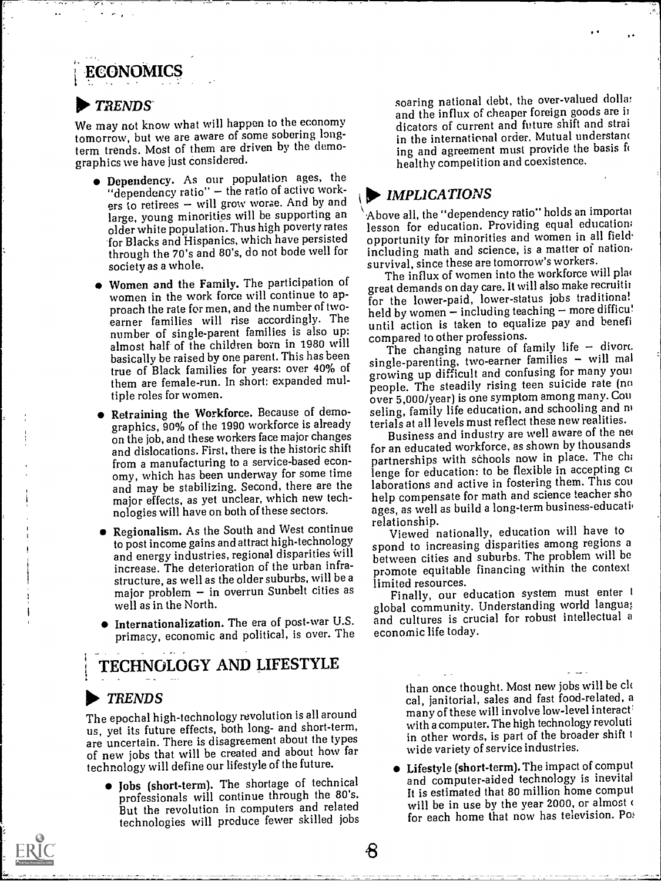# ECONOMICS

### TRENDS

We may not know what will happen to the economy tomorrow, but we are aware of some sobering longterm trends. Most of them are driven by the demographics we have just considered.

- Dependency. As our population ages, the "dependency ratio" - the ratio of active work-<br>ers to retirees - will grow worse. And by and large, young minorities will be supporting an older white population. Thus high poverty rates for Blacks and Hispanics, which have persisted through the 70's and 80's, do not bode well for society as a whole.,
- Women and the Family. The participation of women in the work force will continue to approach the rate for men, and the number of twoearner families will rise accordingly. The number of single-parent families is also up: until action is taken to equal almost half of the children born in 1980 will basically be raised by one parent. This has been true of Black families for years: over 40% of them are female-run. In short: expanded multiple roles for women.
- Retraining the Workforce. Because of demographics, 90% of the 1990 workforce is already on the job, and these workers face major changes and dislocations. First, there is the historic shift from a manufacturing to a service-based economy, which has been underway for some time and may be stabilizing. Second, there are the major effects, as yet unclear, which new technologies will have on both of these sectors.
- Regionalism. As the South and West continue relationship. to post income gains and attract high-technology and energy industries, regional disparities will increase. The deterioration of the urban infrastructure, as well as the older suburbs, will be a major problem  $-$  in overrun Sunbelt cities as well as in the North.
- Internationalization. The era of post-war U.S. primacy, economic and political, is over. The

TECHNOLOGY AND LIFESTYLE

### TRENDS

The epochal high-technology revolution is all around us, yet its future effects, both long- and short-term, are uncertain. There is disagreement about the types of new jobs that will be created and about how far technology will define our lifestyle of the future.

 $\bullet$  Jobs (short-term). The shortage of technical professionals will continue through the 80's. But the revolution in computers and related technologies will produce fewer skilled jobs soaring national debt, the over-valued dollar and the influx of cheaper foreign goods are ii dicators of current and future shift and strai in the international order. Mutual understand ing and agreement must provide the basis fo healthy competition and coexistence.

 $\cdot$  .

### **IMPLICATIONS**

Above all, the "dependency ratio" holds an importai lesson for education. Providing equal education; opportunity for minorities and women in all field, including math and science, is a matter of nation. survival, since these are tomorrow's workers.

The influx of women into the workforce will plac great demands on day care. It will also make recruitii for the lower-paid, lower-status jobs traditional held by women - including teaching - more difficu! until action is taken to equalize pay and benefi

The changing nature of family life  $-$  divorc.  $single-parenting$ , two-earner families - will mal growing up difficult and confusing for many your people. The steadily rising teen suicide rate (no over 5,000/year) is one symptom among many. Con seling, family life education, and schooling and m terials at all levels must reflect these new realities.

Business and industry are well aware of the ne( for an educated workforce, as shown by thousands partnerships with schools now in place. The ch; lenge for education: to be flexible in accepting co laborations and active in fostering them. This con help compensate for math and science teacher sho ages, as well as build a long-term business-education

Viewed nationally, education will have to spond to increasing disparities among regions a between cities and suburbs. The problem will be promote equitable financing within the context limited resources.

Finally, our education system must enter t global community. Understanding world langua; and cultures is crucial for robust intellectual a economic life today.

> than once thought. Most new jobs will be ck cal, janitorial, sales and fast food-related, a many of these will involve low-level interact with a computer. The high technology revoluti in other words, is part of the broader shift wide variety of service industries.

Lifestyle (short-term). The impact of comput and computer-aided technology is inevital It is estimated that 80 million home comput will be in use by the year 2000, or almost of for each home that now has television. Po: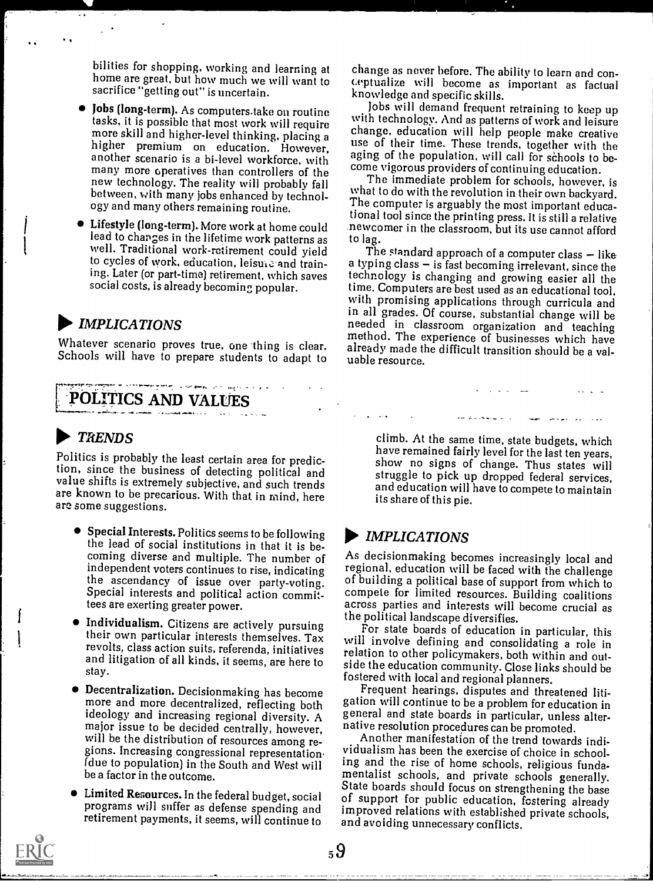bilities for shopping, working and learning at home are great, but how much we will want to sacrifice "getting out" is uncertain.

- many more operatives than controllers of the between, with many jobs enhanced by technology and many others remaining routine.
- Lifestyle (long-term). More work at home could well. Traditional work-retirement could yield The standard approach of a computer class - like to cycles of work, education, leisure and trainsocial costs, is already becoming popular.

### $\blacktriangleright$  IMPLICATIONS

Whatever scenario proves true, one thing is clear. already made the Schools will have to prepare students to adapt to uable resource.

# POLITICS AND VALUES

## TRENDS

Politics is probably the least certain area for prediction, since the business of detecting political and struggle to pick up dropped federal services, value shifts is extremely subjective, and such trends are known to be precarious. With that in mind, here are some suggestions.

- $\bullet$  Special Interests. Politics seems to be following the lead of social institutions in that it is beindependent voters continues to rise, indicating the ascendancy of issue over party-voting. Special interests and political action committees are exerting greater power.
- Individualism. Citizens are actively pursuing their own particular interests themselves. Tax revolts, class action suits, referenda, initiatives and litigation of all kinds, it seems, are here to stay.
- ideology and increasing regional diversity. A major issue to be decided centrally, however,<br>will be the distribution of resources among regions. Increasing congressional representation. be a factor in the outcome.
- programs will suffer as defense spending and

change as never before. The ability to learn and conceptualize will become as important as factual knowledge and specific skills.

Jobs (long-term). As computers take on routine Jobs will demand frequent retraining to keep up tasks, it is possible that most work will require more skill and higher-level thinking, placing a higher premium on education. However, another scenario is a bi-level workforce, with aging of the population, will call for schools to bewith technology. And as patterns of work and leisure use of their time. These trends, together with the aging of the population, will call for schools to become vigorous providers of continuing education.

new technology. The reality will probably fall The immediate problem for schools, however, is<br>hetween with many inhe enhanced by technol what to do with the revolution in their own backyard. The immediate problem for schools, however, is The computer is arguably the most important educational tool since the printing press. It is still a relative newcomer in the classroom, but its use cannot afford to lag.

ing. Later (or part-time) retirement, which saves technology is changing and growing easier all the social costs, is already becoming popular. The Computers are best used as an educational tool, a typing class  $-$  is fast becoming irrelevant, since the technology is changing and growing easier all the with promising applications through curricula and in all grades. Of course, substantial change will be needed in classroom organization and teaching<br>method. The experience of businesses which have already made the difficult transition should be a val-

> climb. At the same time, state budgets, which<br>have remained fairly level for the last ten years, show no signs of change. Thus states will and education will have to compete to maintain its share of this pie.

### IMPLICATIONS

coming diverse and multiple. The number of  $A<sub>s</sub>$  decisionmaking becomes increasingly local and independent voters continues to rise, indicating regional, education will be faced with the challenge As decisionmaking becomes increasingly local and of building a political base of support from which to compete for limited resources. Building coalitions across parties and interests will become crucial as the political landscape diversifies.

For state boards of education in particular, this will involve defining and consolidating a role in relation to other policymakers, both within and outside the education community. Close links should be fostered with local and regional planners.

• Decentralization. Decisionmaking has become Frequent hearings, disputes and threatened litimore and more decentralized, reflecting both gation will continue to be a problem for education in general and state boards in particular, unless alternative resolution procedures can be promoted.

(due to population) in the South and West will ing and the rise of home schools, religious funda-<br>be a factor in the outcome. The mentalist schools, and private schools generally. Limited Resources. In the federal budget, social of support for public education, fostering already retirement payments, it seems, will continue to and avoiding unnecessary conflicts. Another manifestation of the trend towards individualism has been the exercise of choice in schooling and the rise of home schools, religious funda-State boards should focus on strengthening the base improved relations with established private schools,

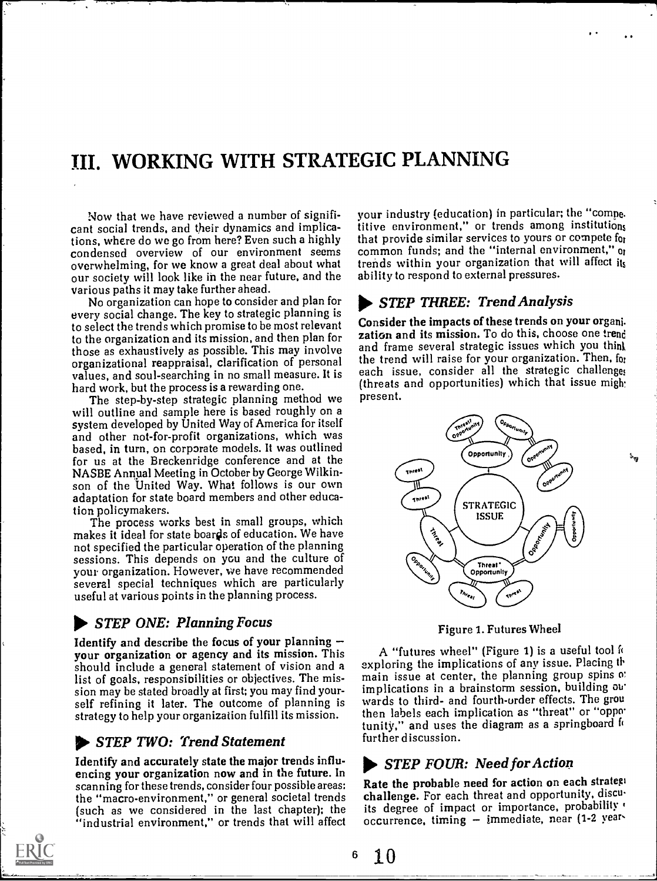# III. WORKING WITH STRATEGIC PLANNING

Now that we have reviewed a number of significant social trends, and their dynamics and implications, where do we go from here? Even such a highly condensed overview of our environment seems overwhelming, for we know a great deal about what our society will look like in the near future, and the various paths it may take further ahead.

No organization can hope to consider and plan for every social change. The key to strategic planning is to select the trends which promise to be most relevant to the organization and its mission, and then plan for those as exhaustively as possible. This may involve and frame several strategic issues which you think<br>organizational reappraisal clarification of personal the trend will raise for your organization. Then, for organizational reappraisal, clarification of personal values, and soul-searching in no small measure. It is

The step-by-step strategic planning method we will outline and sample here is based roughly on a system developed by United Way of America for itself and other not-for-profit organizations, which was based, in turn, on corporate models. It was outlined for us at the Breckenridge conference and at the NASBE Annpal Meeting in October by George Wilkinson of the United Way. What follows is our own adaptation for state board members and other educa-

tion policymakers. The process works best in small groups, which makes it ideal for state boards of education. We have not specified the particular operation of the planning sessions. This depends on you and the culture of your organization. However, we have recommended several special techniques which are particularly useful at various points in the planning process.

#### STEP ONE: Planning Focus

Identify and describe the focus of your planning your organization or agency and its mission. This should include a general statement of vision and a list of goals, responsibilities or objectives. The mission may be stated broadly at first; you may find yourself refining it later. The outcome of planning is strategy to help your organization fulfill its mission.

#### **IFLER TWO: Trend Statement**

Identify and accurately state the major trends influ- encing your organization now and in the future. In scanning for these trends, consider four possible areas: the "macro-environment," or general societal trends (such as we considered in the last chapter); the "industrial environment," or trends that will affect



your industry (education) in particular; the "comne. titive environment," or trends among institutions that provide similar services to yours or compete for common funds; and the "internal environment," or trends within your organization that will affect its ability to respond to external pressures.

### STEP THREE: Trend Analysis

Consider the impacts of these trends on your organi zation and its mission. To do this, choose one trend and frame several strategic issues which you think each issue, consider all the strategic challenges (threats and opportunities) which that issue might present.



Figure 1. Futures Wheel

A "futures wheel" (Figure 1) is a useful tool fi exploring the implications of any issue. Placing th main issue at center, the planning group spins o: implications in a brainstorm session, building out wards to third- and fourth-order effects. The grou then labels each implication as "threat" or "oppo tunity," and uses the diagram as a springboard for further discussion.

### STEP FOUR: Need for Action

Rate the probable need for action on each strategi challenge. For each threat and opportunity, discu its degree of impact or importance, probability occurrence, timing - immediate, near (1-2 year-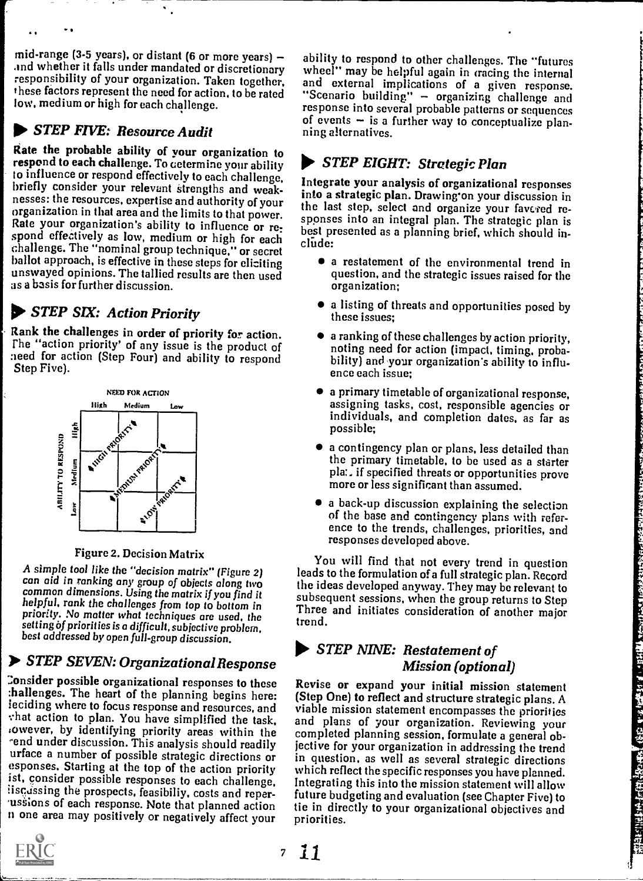mid-range (3-5 years), or distant (6 or more years)  $$ responsibility of your organization. Taken together, these factors represent the need for action, to be rated low, medium or high for each challenge.

# **STEP FIVE: Resource Audit**

Rate the probable ability of your organization to respond to each challenge. To determine your ability to influence or respond effectively to each challenge. briefly consider your relevant strengths and weak-nesses: the resources, expertise and authority of your organization in that area and the limits to that power.<br>Rate your organization's ability to influence or re-<br>heat procented as a power. spond effectively as low, medium or high for each clude: challenge. The "nominal group technique," or secret unswayed opinions. The tallied results are then used question, and<br>as a basis for further discussion. The results are then used organization; as a basis for further discussion.

# **10. STEP SIX: Action Priority**

Rank the challenges in order of priority for action. rhe "action priority' of any issue is the product of :teed for action (Step Four) and ability to respond bility) and your<br>Step Five). ence each issue:



#### Figure 2. Decision Matrix

A simple tool like the "decision matrix" (Figure 2) can aid in ranking any group of objects along two setting of priorities is a difficult, subjective problem, best addressed by open full-group discussion.

# Xo STEP SEVEN: Organizational Response

Consider possible organizational responses to these :hallenges. The heart of the planning begins here: iowever, by identifying priority areas within the -end under discussion. This analysis should readily urface a number of possible strategic directions or esponses. Starting at the top of the action priority ist, consider possible responses to each challenge, iiscassing the prospects, feasibiliy, costs and reper-<br>vassions of each response. Note that planned action n one area may positively or negatively affect your



## STEP EIGHT: Strategic Plan

Integrate your analysis of organizational responses into a strategic plan. Drawing'on your discussion in the last step, select and organize your favered rebest presented as a planning brief, which should in-

- a restatement of the environmental trend in question, and the strategic issues raised for the
- a listing of threats and opportunities posed by these issues;
- a ranking of these challenges by action priority, noting need for action (impact, timing, probability) and your organization's ability to influ-
- a primary timetable of organizational response, assigning tasks, cost, responsible agencies or individuals, and completion dates, as far as possible;
- a contingency plan or plans, less detailed than the primary timetable, to be used as a starter pia:. if specified threats or opportunities prove more or less significant than assumed.
- a back-up discussion explaining the selection of the base and contingency plans with reference to the trends, challenges, priorities, and responses developed above.

common dimensions. Using the matrix if you find it<br>helpful, rank the challenges from top to bottom in Three and initiates consideration of another major<br>priority. No matter what techniques are used, the theory is the state You will find that not every trend in question leads to the formulation of a full strategic plan. Record the ideas developed anyway. They may be relevant to Three and initiates consideration of another major trend.

### STEP NINE: Restatement of Mission (optional)

leciding where to focus response and resources, and viable mission statement encompasses the priorities : hat action to plan. You have simplified the task, and plans of your organization. Reviewing your Revise or expand your initial mission statement (Step One) to reflect and structure strategic plans. A completed planning session, formulate a general objective for your organization in addressing the trend in question, as well as several strategic directions which reflect the specific responses you have planned. In question, as well as several strategic directions<br>which reflect the specific responses you have planned.<br>Integrating this into the mission statement will allow<br>future budgeting and evaluation (see Chapter Five) to<br>tie i future budgeting and evaluation (see Chapter Five) to tie in directly to your organizational objectives and priorities.

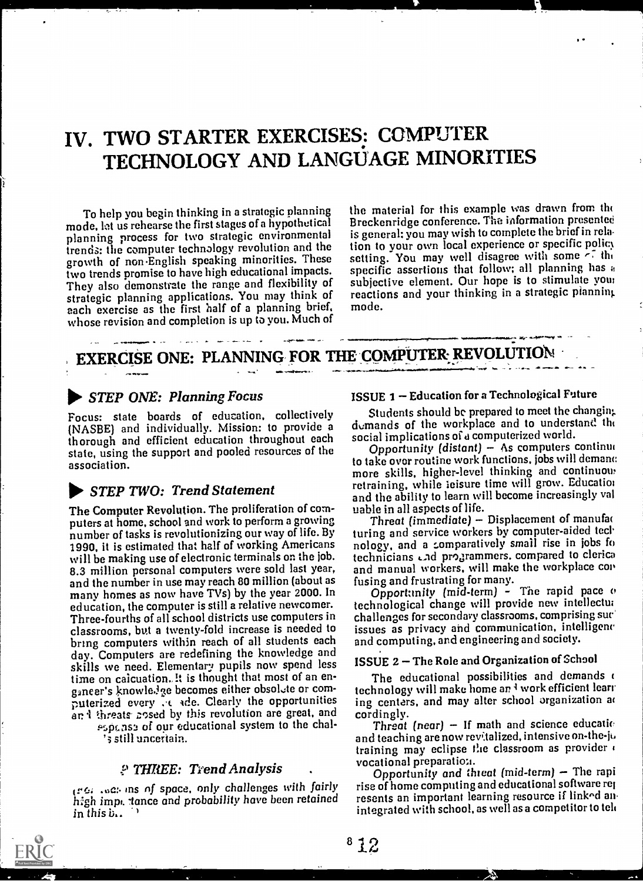# IV. TWO STARTER EXERCISES: COMPUTER TECHNOLOGY AND LANGUAGE MINORITIES

To help you begin thinking in a strategic planning mode, lot us rehearse the first stages of a hypothetical planning process for two strategic environmental trends: the computer technology revolution and the growth of non-English speaking minorities. These two trends promise to have high educational impacts. They also demonstrate the range and flexibility of strategic planning applications. You may think of each exercise as the first half of a planning brief. whose revision and completion is up to you. Much of the material for this example was drawn from the Breckenridge conference. The information presentee is general: you may wish to complete the brief in rela tion to your own local experience or specific policy setting. You may well disagree with some  $-7$  the specific assertions that follow; all planning has a subjective clement. Our hope is to stimulate your reactions and your thinking in a strategic planning mode.

# EXERCISE ONE: PLANNING FOR THE COMPUTER REVOLUTION

### 00. STEP ONE: Planning Focus

...Olf

Focus: state boards of education, collectively (NASBE) and individually. Mission: to provide a thorough and efficient education throughout each state, using the support and pooled resources of the association.

### **STEP TWO: Trend Statement**

The Computer Revolution. The proliferation of computers at home, school and work to perform a growing number of tasks is revolutionizing our way of life. By 1990, it is estimated that half of working Americans will be making use of electronic terminals on the job. 8.3 million personal computers were sold last year, and manual workers, will make<br>and the number in use may reach 80 million (about as fusing and frustrating for many. and the number in use may reach 80 million (about as many homes as now have TVs) by the year 2000. In education, the computer is still a relative newcomer. Three-fourths of all school districts use computers in classrooms, but a twenty-fold increase is needed to bring computers within reach of all students each day. Computers are redefining the knowledge and skills we need. Elementary pupils now spend less time on caicuation. It is thought that most of an enganeer's knowle.lge becomes either obsolute or computerized every  $\cdot \cdot \cdot$  ade. Clearly the opportunities ing center and threats cosed by this revolution are great, and cordingly. an i threats gosed by this revolution are great, and

' 3 still uncertain.

#### THREE: Trend Analysis

(rc.; ins of space. only challenges with fairly high impt, tance and probability have been retained in this  $\ddot{v}$ ..

#### ISSUE 1 Education for a Technological Future

Students should be prepared to meet the changin:, demands of the workplace and to understand the social implications of a computerized world.

7ala.

Opportunity (distant)  $-$  As computers continual to take over routine work functions. jobs will dement: more skills, higher-level thinking and continuous retraining, while leisure time will grow. Education and the ability to learn will become increasingly val uable in all aspects of life.

Threat (immediate)  $-$  Displacement of manufat turing and service workers by computer-aided technology, and a comparatively small rise in jobs fo technicians and programmers. compared to clerica and manual workers, will make the workplace con

Opportunity (mid-term) - The rapid pace  $\sigma$ technological change will provide new intellectua challenges for secondary classrooms, comprising sue' issues as privacy and communication, intelligenc and computing. and engineering and society.

### ISSUE 2 - The Role and Organization of School

The educational possibilities and demands o technology will make home an I work efficient learn ing centers, and may alter school organization at

p<sub>5pt.</sub>ns<sub>2</sub> of our educational system to the chal-<br>
<sup>2</sup>s still uncertain.<br>
<sup>2</sup>s still uncertain.<br>
<sup>2</sup>s still uncertain. Threat (near)  $-$  If math and science educatio training may eclipse the classroom as provider  $\epsilon$  vocational preparation.

Opportunity and threat (mid-term) - The rapi rise of home computing and educational software ref resents an important learning resource if linked anintegrated with school, as well as a competitor to telt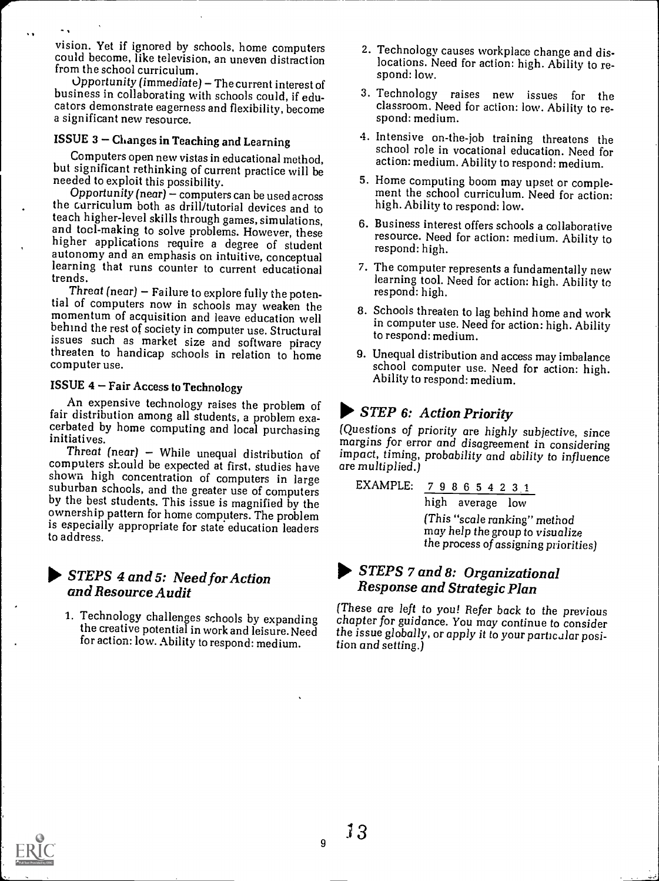vision. Yet if ignored by schools, home computers could become, like television, an uneven distraction from the school curriculum.

Opportunity (immediate) - The current interest of business in collaborating with schools could, if educators demonstrate eagerness and flexibility, become a significant new resource.

### $ISSUE$  3 - Changes in Teaching and Learning

 $\ddot{\phantom{a}}$ 

 $\ddot{\phantom{a}}$ 

Computers open new vistas in educational method,<br>but significant rethinking of current practice will be<br>needed to exploit this possibility.<br> $\frac{5}{100}$ . Home computing boom may upset or comple-

Opportunity (near)  $-$  computers can be used across the curriculum both as drill/tutorial devices and to and tocl-making to solve problems. However, these<br>higher applications require a degree of student<br>autonomy and an emphasis on intuitive, conceptual<br>learning that runs counter to current educational<br>trends.<br>Threat (near) –

tial of computers now in schools may weaken the<br>momentum of acquisition and leave education well<br>behind the rest of society in computer use. Structural<br>issues such as market size and software piracy threaten to handicap schools in relation to home computer use.

### ISSUE  $4$  – Fair Access to Technology

An expensive technology raises the problem of fair distribution among all students, a problem exafair distribution among and students initiatives.<br>Threat (near) - While unequal distribution of

computers should be expected at first, studies have shown high concentration of computers in large suburban schools, and the greater use of computers by the best students. This issue is magnified by the ownership pattern for home computers. The problem is especially appropriate for state education leaders to address.

### STEPS 4 and 5: Need for Action and Resource Audit

the creative potential in work and leisure. Need for action: low. Ability to respond: medium.

- 2. Technology causes workplace change and dislocations. Need for action: high. Ability to respond: low.
- 3. Technology raises new issues for the classroom. Need for action: low. Ability to respond: medium.
- 4. Intensive on-the-job training threatens the school role in vocational education. Need for action: medium. Ability to respond: medium.
- ment the school curriculum. Need for action: high. Ability to respond: low.
- 6. Business interest offers schools a collaborative resource. Need for action: medium. Ability to respond: high.
- 7. The computer represents a fundamentally new learning tool. Need for action: high. Ability to respond: high.
- 8. Schools threaten to lag behind home and work in computer use. Need for action: high. Ability to respond: medium.
- 9. Unequal distribution and access may imbalance school computer use. Need for action: high. Ability to respond: medium.

# STEP 6: Action Priority

(Questions of priority are highly subjective, since margins for error and disagreement in considering impact, timing, probability and ability to influence are multiplied.)

EXAMPLE: 
$$
\frac{7}{198665423.1}
$$
 high average low  
\n(This "scale ranking" method  
\nmay help the group to visualize  
\nthe process of assigning priorities)

### 0. STEPS 7 and 8: Organizational Response and Strategic Plan

1. Technology challenges schools by expanding (These are left to you! Refer back to the previous<br>chapter for guidance. You may continue to consider chapter for guidance. You may continue to consider the issue globally, or apply it to your particular position and setting.)



 $\overline{9}$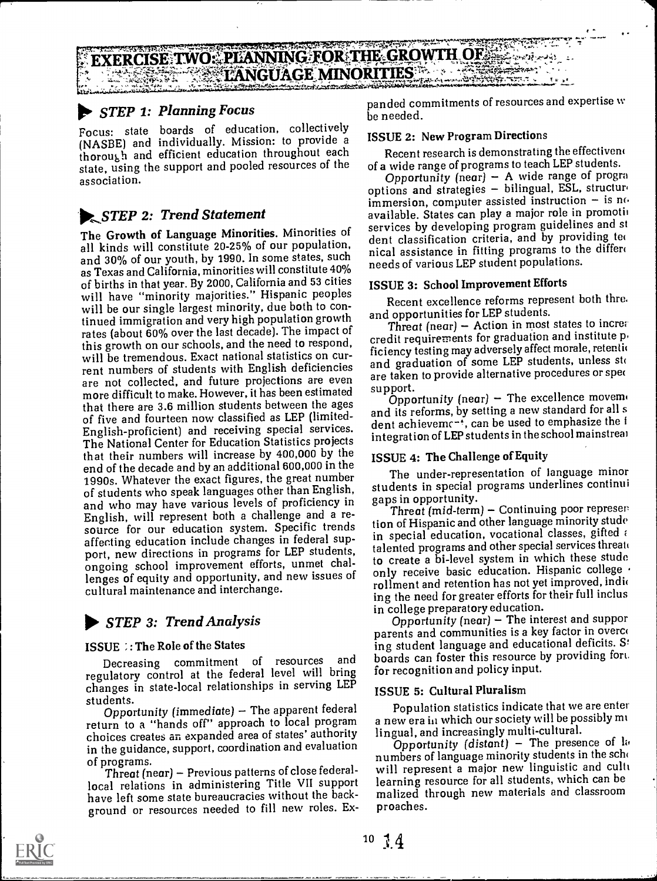# $\frac{1}{2}$  ,  $\frac{1}{2}$  ,  $\frac{1}{2}$  ,  $\frac{1}{2}$  ,  $\frac{1}{2}$  ,  $\frac{1}{2}$  ,  $\frac{1}{2}$  ,  $\frac{1}{2}$  ,  $\frac{1}{2}$  ,  $\frac{1}{2}$  ,  $\frac{1}{2}$  ,  $\frac{1}{2}$  ,  $\frac{1}{2}$  ,  $\frac{1}{2}$  ,  $\frac{1}{2}$  ,  $\frac{1}{2}$  ,  $\frac{1}{2}$  ,  $\frac{1}{2}$  ,  $\frac{1$ LANNING FOR THE GROWTH OF **RCISE 1WO: PLANNING FOR THE GROW IN OF SERVER AND REAL PROPERTIES**

### **STEP 1: Planning Focus**

r i s

Focus: state boards of education, collectively (NASBE) and individually. Mission: to provide a thorough and efficient education throughout each state, using the support and pooled resources of the association.

### **...**STEP 2: Trend Statement

The Growth of Language Minorities. Minorities of all kinds will constitute 20-25% of our population, and 30% of our youth, by 1990. In some states, such as Texas and California, minorities will constitute 40% of births in that year. By 2000, California and 53 cities will have "minority majorities." Hispanic peoples will be our single largest minority, due both to continued immigration and very high population growth rates (about 60% over the last decade). The impact of this growth on our schools, and the need to respond, will be tremendous, Exact national statistics on current numbers of students with English deficiencies are not collected, and future projections are even are taken<br>like the projection of the boom estimated support. more difficult to make. However, it has been estimated that there are 3.6 million students between the ages of five and fourteen now classified as LEP (limited-English-proficient) and receiving special services. The National Center for Education Statistics projects that their numbers will increase by 400,000 by the end of the decade and by an additional 600,000 in the 1990s. Whatever the exact figures, the great number of students who speak languages other than English,<br>and who may have various levels of proficiency in English, will represent both a challenge and a resource for our education system. Specific trends affecting education include changes in federal support, new directions in programs for LEP students, ongoing school improvement efforts, unmet challenges of equity and opportunity, and new issues of cultural maintenance and interchange.

### 0. STEP 3: Trend Analysis

### ISSUE ; : The Role of the States

Decreasing commitment of resources and regulatory control at the federal level will bring changes in state-local relationships in serving LEP students.

Opportunity (immediate)  $-$  The apparent federal return to a "hands off" approach to local program choices creates an expanded area of states' authority in the guidance, support, coordination and evaluation of programs.

Threat (near) - Previous patterns of close federallocal relations in administering Title VII support have left some state bureaucracies without the background or resources needed to fill new roles. Ex-

panded commitments of resources and expertise w be needed.

#### ISSUE 2: New Program Directions

Recent research is demonstrating the effectivem of a wide range of programs to teach LEP students.

Opportunity (near)  $-$  A wide range of progra options and strategies - bilingual, ESL, structure immersion, computer assisted instruction  $-$  is no available. States can play a major role in promoti services by developing program guidelines and st dent classification criteria, and by providing ted nical assistance in fitting programs to the differ( needs of various LEP student populations.

#### ISSUE 3: School Improvement Efforts

Recent excellence reforms represent both thre. and opportunities for LEP students.

Threat (near) - Action in most states to increa credit requirements for graduation and institute p, ficiency testing may adversely affect morale, retention and graduation of some LEP students, unless sto are taken to provide alternative procedures or spec

Opportunity (near) - The excellence movement and its reforms, by setting a new standard for all s dent achieveme<sup>-+</sup>, can be used to emphasize the i integration of LEP students in the school mainstreai

#### ISSUE 4: The Challenge of Equity

The under-representation of language minor students in special programs underlines continui gaps in opportunity.

Threat  $(mid-term)$  - Continuing poor represer tion of Hispanic and other language minority stude in special education, vocational classes, gifted  $\epsilon$ talented programs and other special services threate to create a bi-level system in which these stude only receive basic education. Hispanic college . rollment and retention has not yet improved, indic ing the need for greater efforts for their full inclus in college preparatory education.

Opportunity (near)  $-$  The interest and suppor parents and communities is a key factor in overce ing student language and educational deficits. S' boards can foster this resource by providing fort. for recognition and policy input.

#### ISSUE 5: Cultural Pluralism

Population statistics indicate that we are enter a new era in which our society will be possibly mi lingual, and increasingly multi-cultural.

Opportunity (distant) - The presence of la numbers of language minority students in the scho will represent a major new linguistic and cull learning resource for all students, which can be malized through new materials and classroom proaches.

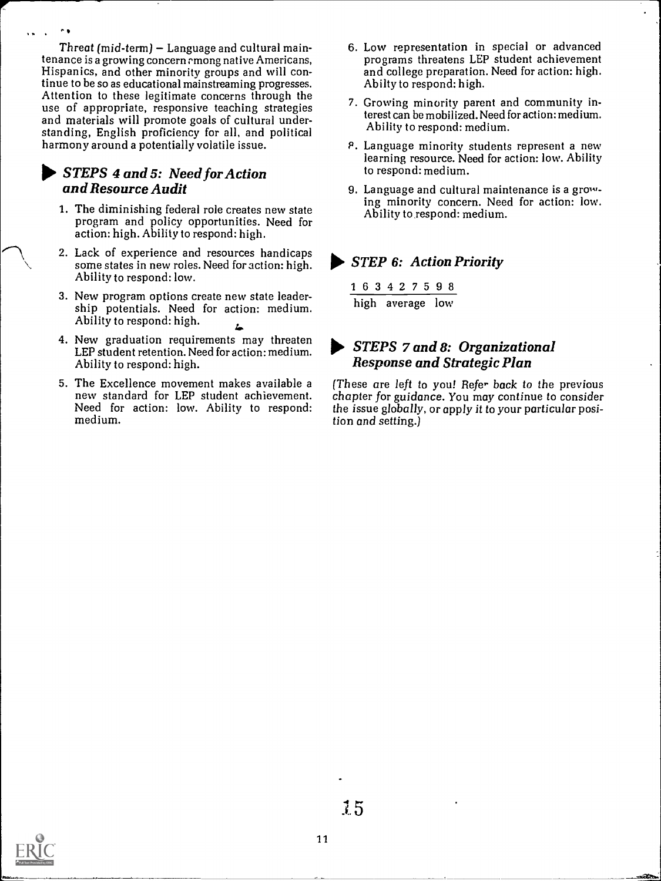Threat  $(mid-term) - Language$  and cultural maintenance is a growing concern rmong native Americans, Hispanics, and other minority groups and will continue to be so as educational mainstreaming progresses. Attention to these legitimate concerns through the use of appropriate, responsive teaching strategies and materials will promote goals of cultural understanding, English proficiency for all, and political harmony around a potentially volatile issue.

 $\sim$   $\bullet$ 

### STEPS 4 and 5: Need for Action and Resource Audit

- 1. The diminishing federal role creates new state program and policy opportunities. Need for action: high. Ability to respond: high.
- 2. Lack of experience and resources handicaps some states in new roles. Need for action: high. Ability to respond: low.
- 3. New program options create new state leader- ship potentials. Need for action: medium. Ability to respond: high.
- 4. New graduation requirements may threaten LEP student retention. Need for action: medium. Ability to respond: high.
- 5. The Excellence movement makes available a new standard for LEP student achievement. Need for action: low. Ability to respond: medium.
- 6. Low representation in special or advanced programs threatens LEP student achievement and college preparation. Need for action: high. Abilty to respond: high.
- 7. Growing minority parent and community interest can be mobilized. Need for action: medium. Ability to respond: medium.
- P. Language minority students represent a new learning resource. Need for action: low. Ability to respond: medium.
- 9. Language and cultural maintenance is a growing minority concern. Need for action: low. Ability to respond: medium.

### STEP 6: Action Priority

1 6 3 4 2 7 5 9 8 high average low

### STEPS 7 and 8: Organizational Response and Strategic Plan

(These are left to you! Refer back to the previous chapter for guidance. You may continue to consider the issue globally, or apply it to your particular position and setting.)

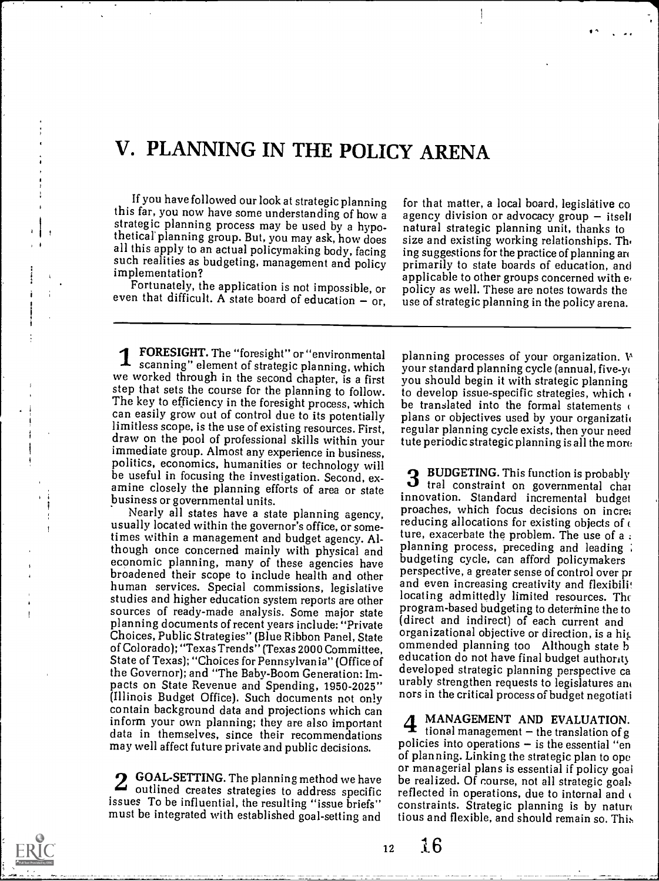# V. PLANNING IN THE POLICY ARENA

If you have followed our look at strategic planning this far, you now have some understanding of how a strategic planning process may be used by a hypo-<br>thetical planning group. But, you may ask, how does all this apply to an actual policymaking body, facing such realities as budgeting, management and policy implementation?

Fortunately, the application is not impossible, or even that difficult. A state board of education  $-$  or,

for that matter, a local board, legislative co agency division or advocacy group  $-$  itself natural strategic planning unit, thanks to size and existing working relationships. Th. ing suggestions for the practice of planning an primarily to state boards of education, and applicable to other groups concerned with e. policy as well. These are notes towards the use of strategic planning in the policy arena.

 $f^* = f$ 

FORESIGHT. The "foresight" or "environmental **4** scanning" element of strategic planning, which we worked through in the second chapter, is a first step that sets the course for the planning to follow. to develop issue-specific strategies, which The key to efficiency in the foresight process, which can easily grow out of control due to its potentially<br>limitless scope, is the use of existing resources. First, draw on the pool of professional skills within your<br>immediate group. Almost any experience in business, politics, economics, humanities or technology will be useful in focusing the investigation. Second, ex-<br>  $\overline{\mathbf{3}}$ amine closely the planning efforts of area or state business or governmental units.

Nearly all states have a state planning agency, proaches, which focus decisions on increasing big allocated within the governor's office, or some-<br>times within a management and hudget agency. All ture, exacerbate the prob times within a management and budget agency. Although once concerned mainly with physical and<br>economic planning, many of these agencies have budgeting cycle, can afford policymakers broadened their scope to include health and other<br>human services. Special commissions, legislative studies and higher education system reports are other sources of ready-made analysis. Some major state planning documents of recent years include: "Private Choices, Public Strategies" (Blue Ribbon Panel, State of Colorado); "Texas Trends" (Texas 2000 Committee, State of Texas); "Choices for Pennsylvania" (Office of the Governor); and "The Baby-Boom Generation: Impacts on State Revenue and Spending, 1950-2025" (Illinois Budget Office). Such documents not only contain background data and projections which can inform your own planning; they are also important data in themselves, since their recommendations may well affect future private and public decisions.

**2 GOAL-SETTING.** The planning method we have be real:<br>outlined creates strategies to address specific reflecte issues To be influential, the resulting "issue briefs" must be integrated with established goal-setting and

planning processes of your organization.  $W$ your standard planning cycle (annual, five-yt you should begin it with strategic planning be translated into the formal statements  $\epsilon$ plans or objectives used by your organization regular planning cycle exists, then your need tute periodic strategic planning is all the more

3 BUDGETING. This function is probably<br>3 tral constraint on governmental char BUDGETING. This function is probably innovation. Standard incremental budget reducing allocations for existing objects of  $\epsilon$ budgeting cycle, can afford policymakers perspective, a greater sense of control over pr and even increasing creativity and flexibilit locating admittedly limited resources. The program-based budgeting to determine the to (direct and indirect) of each current and organizational objective or direction, is a his. ommended planning too Although state h education do not have final budget authorit developed strategic planning perspective ca urably strengthen requests to legislatures an nors in the critical process of budget negotiati

tional management  $-$  the translation of g MANAGEMENT AND EVALUATION. policies into operations  $-$  is the essential "en of planning. Linking the strategic plan to ope or managerial plans is essential if policy goal be realized. Of course, not all strategic goals reflected in operations, due to internal and  $\epsilon$ constraints. Strategic planning is by naturo tious and flexible, and should remain so. This